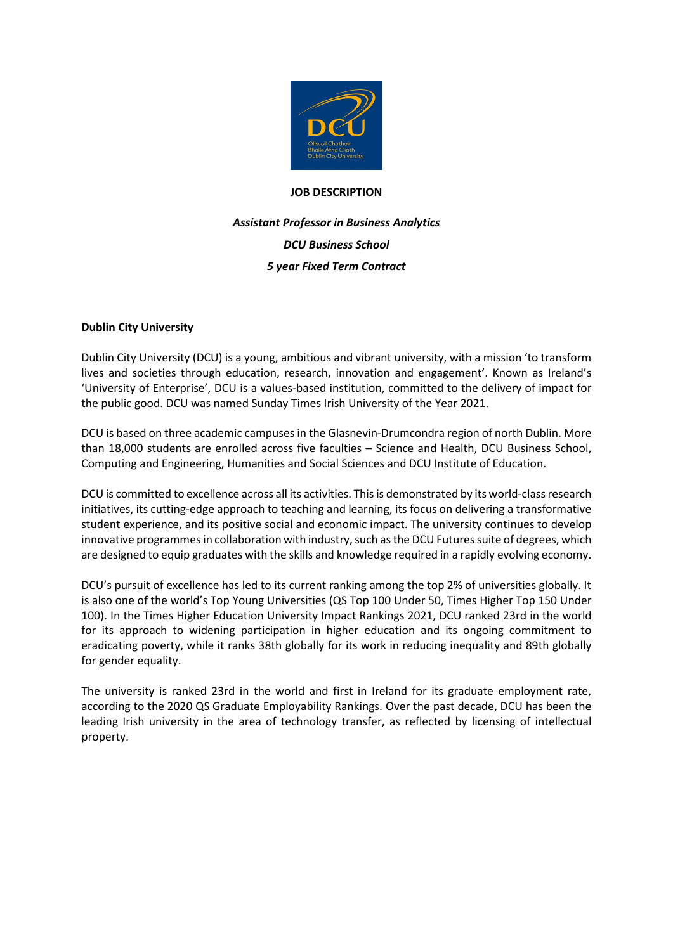

## **JOB DESCRIPTION**

# *Assistant Professor in Business Analytics DCU Business School 5 year Fixed Term Contract*

# **Dublin City University**

Dublin City University (DCU) is a young, ambitious and vibrant university, with a mission 'to transform lives and societies through education, research, innovation and engagement'. Known as Ireland's 'University of Enterprise', DCU is a values-based institution, committed to the delivery of impact for the public good. DCU was named Sunday Times Irish University of the Year 2021.

DCU is based on three academic campuses in the Glasnevin-Drumcondra region of north Dublin. More than 18,000 students are enrolled across five faculties – Science and Health, DCU Business School, Computing and Engineering, Humanities and Social Sciences and DCU Institute of Education.

DCU is committed to excellence across all its activities. This is demonstrated by its world-class research initiatives, its cutting-edge approach to teaching and learning, its focus on delivering a transformative student experience, and its positive social and economic impact. The university continues to develop innovative programmes in collaboration with industry, such as the DCU Futures suite of degrees, which are designed to equip graduates with the skills and knowledge required in a rapidly evolving economy.

DCU's pursuit of excellence has led to its current ranking among the top 2% of universities globally. It is also one of the world's Top Young Universities (QS Top 100 Under 50, Times Higher Top 150 Under 100). In the Times Higher Education University Impact Rankings 2021, DCU ranked 23rd in the world for its approach to widening participation in higher education and its ongoing commitment to eradicating poverty, while it ranks 38th globally for its work in reducing inequality and 89th globally for gender equality.

The university is ranked 23rd in the world and first in Ireland for its graduate employment rate, according to the 2020 QS Graduate Employability Rankings. Over the past decade, DCU has been the leading Irish university in the area of technology transfer, as reflected by licensing of intellectual property.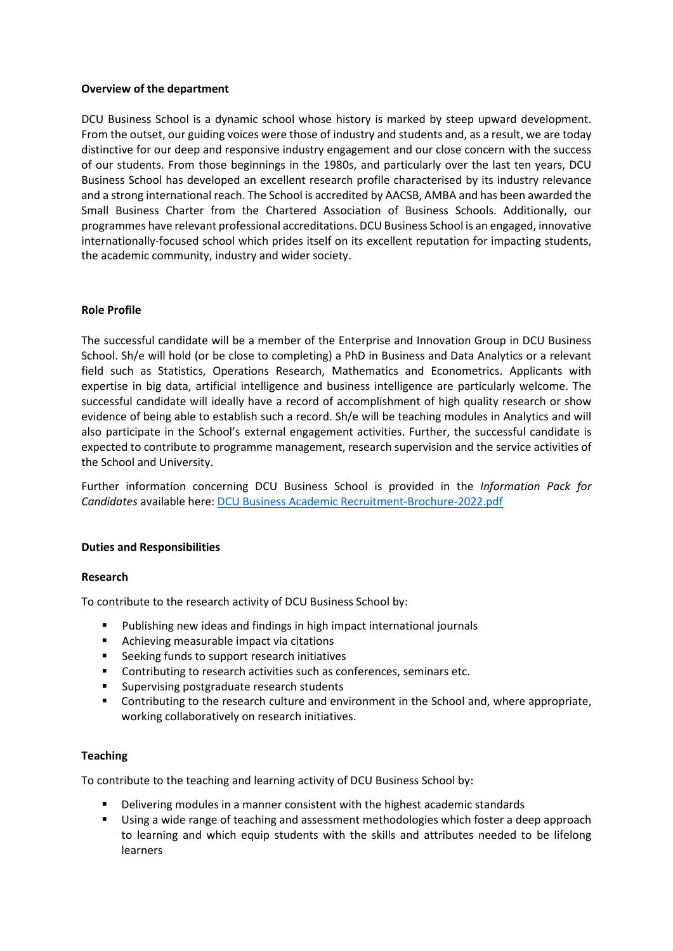## **Overview of the department**

DCU Business School is a dynamic school whose history is marked by steep upward development. From the outset, our guiding voices were those of industry and students and, as a result, we are today distinctive for our deep and responsive industry engagement and our close concern with the success of our students. From those beginnings in the 1980s, and particularly over the last ten years, DCU Business School has developed an excellent research profile characterised by its industry relevance and a strong international reach. The School is accredited by AACSB, AMBA and has been awarded the Small Business Charter from the Chartered Association of Business Schools. Additionally, our programmes have relevant professional accreditations. DCU Business School is an engaged, innovative internationally-focused school which prides itself on its excellent reputation for impacting students, the academic community, industry and wider society.

## **Role Profile**

The successful candidate will be a member of the Enterprise and Innovation Group in DCU Business School. Sh/e will hold (or be close to completing) a PhD in Business and Data Analytics or a relevant field such as Statistics, Operations Research, Mathematics and Econometrics. Applicants with expertise in big data, artificial intelligence and business intelligence are particularly welcome. The successful candidate will ideally have a record of accomplishment of high quality research or show evidence of being able to establish such a record. Sh/e will be teaching modules in Analytics and will also participate in the School's external engagement activities. Further, the successful candidate is expected to contribute to programme management, research supervision and the service activities of the School and University.

Further information concerning DCU Business School is provided in the *Information Pack for Candidates* available here: [DCU Business Academic Recruitment-Brochure-2022.pdf](file://ad/data/DEPT/HR/ALL/HR-Staff%20work%20folders/Emer%20McKenna/DCU%20Business%20Academic%20Recruitment-Brochure-2022.pdf)

## **Duties and Responsibilities**

#### **Research**

To contribute to the research activity of DCU Business School by:

- Publishing new ideas and findings in high impact international journals
- **Achieving measurable impact via citations**
- Seeking funds to support research initiatives
- **•** Contributing to research activities such as conferences, seminars etc.
- **Supervising postgraduate research students**
- Contributing to the research culture and environment in the School and, where appropriate, working collaboratively on research initiatives.

#### **Teaching**

To contribute to the teaching and learning activity of DCU Business School by:

- Delivering modules in a manner consistent with the highest academic standards
- Using a wide range of teaching and assessment methodologies which foster a deep approach to learning and which equip students with the skills and attributes needed to be lifelong learners